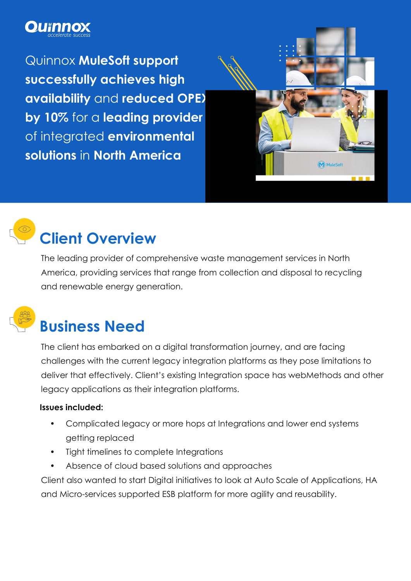

Quinnox **MuleSoft support successfully achieves high availability** and **reduced OPEX by 10%** for a **leading provider**  of integrated **environmental solutions** in **North America**





# **Client Overview**

The leading provider of comprehensive waste management services in North America, providing services that range from collection and disposal to recycling and renewable energy generation.



## **Business Need**

The client has embarked on a digital transformation journey, and are facing challenges with the current legacy integration platforms as they pose limitations to deliver that effectively. Client's existing Integration space has webMethods and other legacy applications as their integration platforms.

#### **Issues included:**

- Complicated legacy or more hops at Integrations and lower end systems getting replaced
- Tight timelines to complete Integrations
- Absence of cloud based solutions and approaches

Client also wanted to start Digital initiatives to look at Auto Scale of Applications, HA and Micro-services supported ESB platform for more agility and reusability.